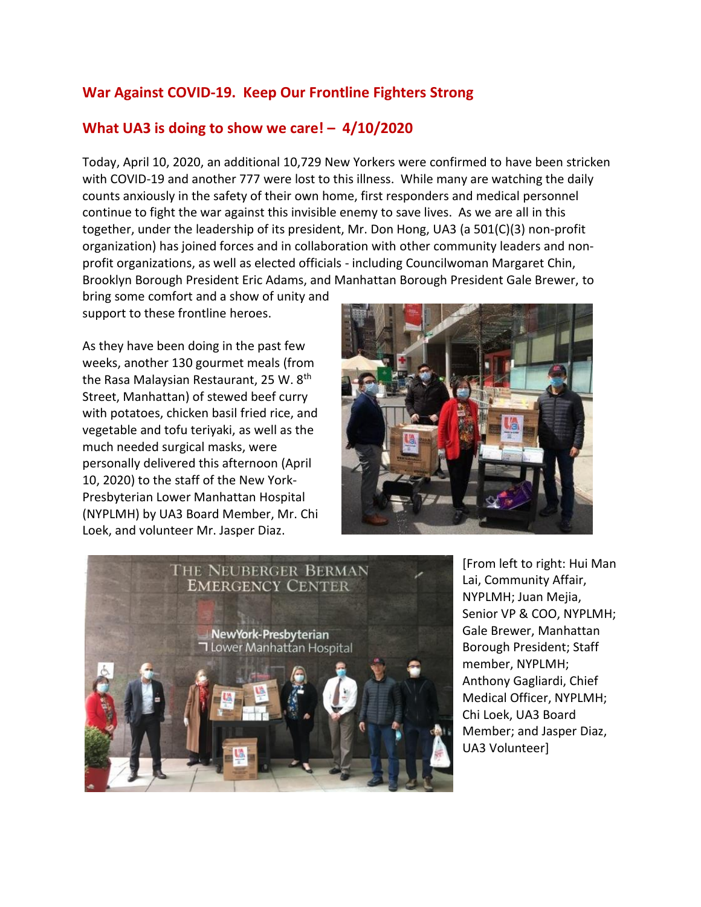## **War Against COVID-19. Keep Our Frontline Fighters Strong**

## **What UA3 is doing to show we care! – 4/10/2020**

Today, April 10, 2020, an additional 10,729 New Yorkers were confirmed to have been stricken with COVID-19 and another 777 were lost to this illness. While many are watching the daily counts anxiously in the safety of their own home, first responders and medical personnel continue to fight the war against this invisible enemy to save lives. As we are all in this together, under the leadership of its president, Mr. Don Hong, UA3 (a 501(C)(3) non-profit organization) has joined forces and in collaboration with other community leaders and nonprofit organizations, as well as elected officials - including Councilwoman Margaret Chin, Brooklyn Borough President Eric Adams, and Manhattan Borough President Gale Brewer, to

bring some comfort and a show of unity and support to these frontline heroes.

As they have been doing in the past few weeks, another 130 gourmet meals (from the Rasa Malaysian Restaurant, 25 W. 8<sup>th</sup> Street, Manhattan) of stewed beef curry with potatoes, chicken basil fried rice, and vegetable and tofu teriyaki, as well as the much needed surgical masks, were personally delivered this afternoon (April 10, 2020) to the staff of the New York-Presbyterian Lower Manhattan Hospital (NYPLMH) by UA3 Board Member, Mr. Chi Loek, and volunteer Mr. Jasper Diaz.





[From left to right: Hui Man Lai, Community Affair, NYPLMH; Juan Mejia, Senior VP & COO, NYPLMH; Gale Brewer, Manhattan Borough President; Staff member, NYPLMH; Anthony Gagliardi, Chief Medical Officer, NYPLMH; Chi Loek, UA3 Board Member; and Jasper Diaz, UA3 Volunteer]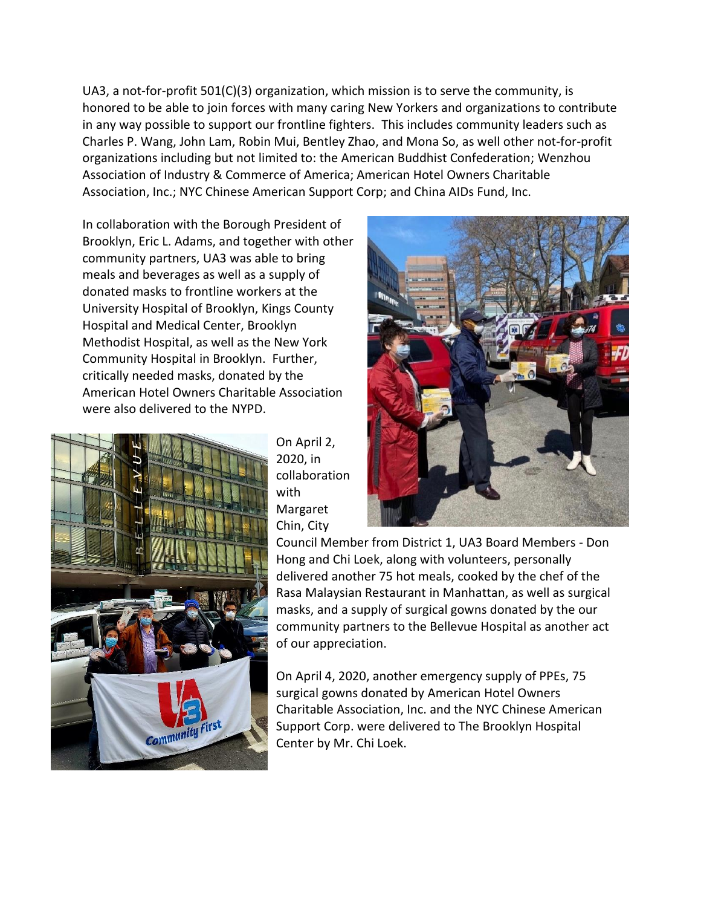UA3, a not-for-profit 501(C)(3) organization, which mission is to serve the community, is honored to be able to join forces with many caring New Yorkers and organizations to contribute in any way possible to support our frontline fighters. This includes community leaders such as Charles P. Wang, John Lam, Robin Mui, Bentley Zhao, and Mona So, as well other not-for-profit organizations including but not limited to: the American Buddhist Confederation; Wenzhou Association of Industry & Commerce of America; American Hotel Owners Charitable Association, Inc.; NYC Chinese American Support Corp; and China AIDs Fund, Inc.

In collaboration with the Borough President of Brooklyn, Eric L. Adams, and together with other community partners, UA3 was able to bring meals and beverages as well as a supply of donated masks to frontline workers at the University Hospital of Brooklyn, Kings County Hospital and Medical Center, Brooklyn Methodist Hospital, as well as the New York Community Hospital in Brooklyn. Further, critically needed masks, donated by the American Hotel Owners Charitable Association were also delivered to the NYPD.



On April 2, 2020, in collaboration with Margaret Chin, City



Council Member from District 1, UA3 Board Members - Don Hong and Chi Loek, along with volunteers, personally delivered another 75 hot meals, cooked by the chef of the Rasa Malaysian Restaurant in Manhattan, as well as surgical masks, and a supply of surgical gowns donated by the our community partners to the Bellevue Hospital as another act of our appreciation.

On April 4, 2020, another emergency supply of PPEs, 75 surgical gowns donated by American Hotel Owners Charitable Association, Inc. and the NYC Chinese American Support Corp. were delivered to The Brooklyn Hospital Center by Mr. Chi Loek.